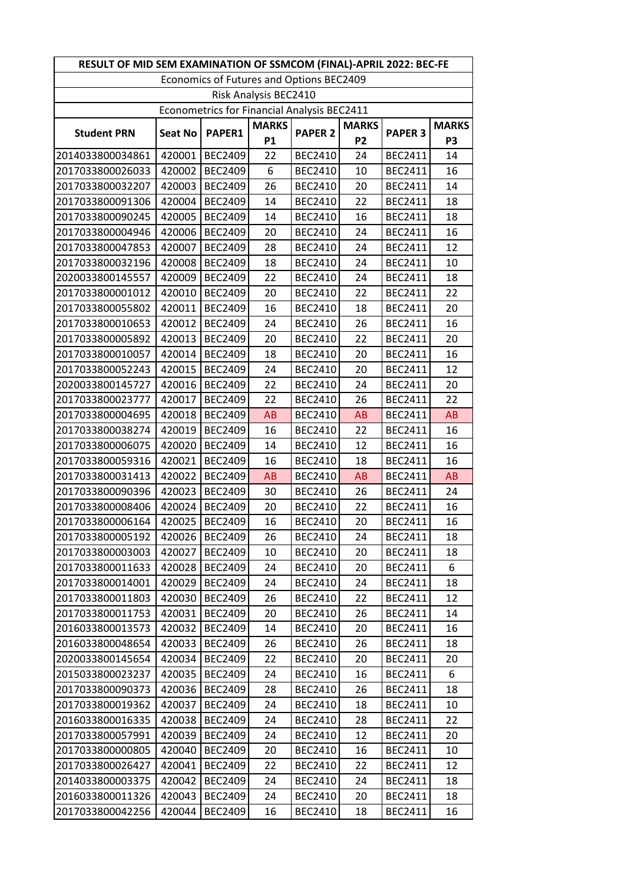| RESULT OF MID SEM EXAMINATION OF SSMCOM (FINAL)-APRIL 2022: BEC-FE |                |                |              |                |                |                |                |  |  |  |  |
|--------------------------------------------------------------------|----------------|----------------|--------------|----------------|----------------|----------------|----------------|--|--|--|--|
| Economics of Futures and Options BEC2409                           |                |                |              |                |                |                |                |  |  |  |  |
| Risk Analysis BEC2410                                              |                |                |              |                |                |                |                |  |  |  |  |
| Econometrics for Financial Analysis BEC2411                        |                |                |              |                |                |                |                |  |  |  |  |
| <b>Student PRN</b>                                                 | <b>Seat No</b> | PAPER1         | <b>MARKS</b> | <b>PAPER 2</b> | <b>MARKS</b>   | <b>PAPER 3</b> | <b>MARKS</b>   |  |  |  |  |
|                                                                    |                |                | P1           |                | P <sub>2</sub> |                | P <sub>3</sub> |  |  |  |  |
| 2014033800034861                                                   | 420001         | <b>BEC2409</b> | 22           | <b>BEC2410</b> | 24             | <b>BEC2411</b> | 14             |  |  |  |  |
| 2017033800026033                                                   | 420002         | <b>BEC2409</b> | 6            | <b>BEC2410</b> | 10             | <b>BEC2411</b> | 16             |  |  |  |  |
| 2017033800032207                                                   | 420003         | <b>BEC2409</b> | 26           | <b>BEC2410</b> | 20             | <b>BEC2411</b> | 14             |  |  |  |  |
| 2017033800091306                                                   | 420004         | <b>BEC2409</b> | 14           | <b>BEC2410</b> | 22             | <b>BEC2411</b> | 18             |  |  |  |  |
| 2017033800090245                                                   | 420005         | <b>BEC2409</b> | 14           | <b>BEC2410</b> | 16             | <b>BEC2411</b> | 18             |  |  |  |  |
| 2017033800004946                                                   | 420006         | <b>BEC2409</b> | 20           | <b>BEC2410</b> | 24             | <b>BEC2411</b> | 16             |  |  |  |  |
| 2017033800047853                                                   | 420007         | <b>BEC2409</b> | 28           | <b>BEC2410</b> | 24             | <b>BEC2411</b> | 12             |  |  |  |  |
| 2017033800032196                                                   | 420008         | <b>BEC2409</b> | 18           | <b>BEC2410</b> | 24             | <b>BEC2411</b> | 10             |  |  |  |  |
| 2020033800145557                                                   | 420009         | <b>BEC2409</b> | 22           | <b>BEC2410</b> | 24             | <b>BEC2411</b> | 18             |  |  |  |  |
| 2017033800001012                                                   | 420010         | <b>BEC2409</b> | 20           | <b>BEC2410</b> | 22             | <b>BEC2411</b> | 22             |  |  |  |  |
| 2017033800055802                                                   | 420011         | <b>BEC2409</b> | 16           | <b>BEC2410</b> | 18             | <b>BEC2411</b> | 20             |  |  |  |  |
| 2017033800010653                                                   | 420012         | <b>BEC2409</b> | 24           | <b>BEC2410</b> | 26             | <b>BEC2411</b> | 16             |  |  |  |  |
| 2017033800005892                                                   | 420013         | <b>BEC2409</b> | 20           | <b>BEC2410</b> | 22             | <b>BEC2411</b> | 20             |  |  |  |  |
| 2017033800010057                                                   | 420014         | <b>BEC2409</b> | 18           | <b>BEC2410</b> | 20             | <b>BEC2411</b> | 16             |  |  |  |  |
| 2017033800052243                                                   | 420015         | <b>BEC2409</b> | 24           | <b>BEC2410</b> | 20             | <b>BEC2411</b> | 12             |  |  |  |  |
| 2020033800145727                                                   | 420016         | <b>BEC2409</b> | 22           | <b>BEC2410</b> | 24             | <b>BEC2411</b> | 20             |  |  |  |  |
| 2017033800023777                                                   | 420017         | <b>BEC2409</b> | 22           | <b>BEC2410</b> | 26             | <b>BEC2411</b> | 22             |  |  |  |  |
| 2017033800004695                                                   | 420018         | <b>BEC2409</b> | <b>AB</b>    | <b>BEC2410</b> | <b>AB</b>      | <b>BEC2411</b> | <b>AB</b>      |  |  |  |  |
| 2017033800038274                                                   | 420019         | <b>BEC2409</b> | 16           | <b>BEC2410</b> | 22             | <b>BEC2411</b> | 16             |  |  |  |  |
| 2017033800006075                                                   | 420020         | <b>BEC2409</b> | 14           | <b>BEC2410</b> | 12             | <b>BEC2411</b> | 16             |  |  |  |  |
| 2017033800059316                                                   | 420021         | <b>BEC2409</b> | 16           | <b>BEC2410</b> | 18             | <b>BEC2411</b> | 16             |  |  |  |  |
| 2017033800031413                                                   | 420022         | <b>BEC2409</b> | <b>AB</b>    | <b>BEC2410</b> | AB             | <b>BEC2411</b> | <b>AB</b>      |  |  |  |  |
| 2017033800090396                                                   | 420023         | <b>BEC2409</b> | 30           | <b>BEC2410</b> | 26             | <b>BEC2411</b> | 24             |  |  |  |  |
| 2017033800008406                                                   | 420024         | <b>BEC2409</b> | 20           | <b>BEC2410</b> | 22             | <b>BEC2411</b> | 16             |  |  |  |  |
| 2017033800006164                                                   | 420025         | <b>BEC2409</b> | 16           | <b>BEC2410</b> | 20             | <b>BEC2411</b> | 16             |  |  |  |  |
| 2017033800005192                                                   | 420026         | <b>BEC2409</b> | 26           | <b>BEC2410</b> | 24             | <b>BEC2411</b> | 18             |  |  |  |  |
| 2017033800003003                                                   | 420027         | <b>BEC2409</b> | 10           | <b>BEC2410</b> | 20             | <b>BEC2411</b> | 18             |  |  |  |  |
| 2017033800011633                                                   | 420028         | <b>BEC2409</b> | 24           | <b>BEC2410</b> | 20             | <b>BEC2411</b> | 6              |  |  |  |  |
| 2017033800014001                                                   | 420029         | <b>BEC2409</b> | 24           | <b>BEC2410</b> | 24             | <b>BEC2411</b> | 18             |  |  |  |  |
| 2017033800011803                                                   | 420030         | <b>BEC2409</b> | 26           | <b>BEC2410</b> | 22             | <b>BEC2411</b> | 12             |  |  |  |  |
| 2017033800011753                                                   | 420031         | <b>BEC2409</b> | 20           | <b>BEC2410</b> | 26             | <b>BEC2411</b> | 14             |  |  |  |  |
| 2016033800013573                                                   | 420032         | <b>BEC2409</b> | 14           | <b>BEC2410</b> | 20             | <b>BEC2411</b> | 16             |  |  |  |  |
| 2016033800048654                                                   | 420033         | <b>BEC2409</b> | 26           | <b>BEC2410</b> | 26             | <b>BEC2411</b> | 18             |  |  |  |  |
| 2020033800145654                                                   | 420034         | <b>BEC2409</b> | 22           | <b>BEC2410</b> | 20             | <b>BEC2411</b> | 20             |  |  |  |  |
| 2015033800023237                                                   | 420035         | <b>BEC2409</b> | 24           | <b>BEC2410</b> | 16             | BEC2411        | 6              |  |  |  |  |
| 2017033800090373                                                   | 420036         | <b>BEC2409</b> | 28           | <b>BEC2410</b> | 26             | <b>BEC2411</b> | 18             |  |  |  |  |
| 2017033800019362                                                   | 420037         | <b>BEC2409</b> | 24           | <b>BEC2410</b> | 18             | <b>BEC2411</b> | 10             |  |  |  |  |
| 2016033800016335                                                   | 420038         | <b>BEC2409</b> | 24           | <b>BEC2410</b> | 28             | <b>BEC2411</b> | 22             |  |  |  |  |
| 2017033800057991                                                   | 420039         | <b>BEC2409</b> | 24           | <b>BEC2410</b> | 12             | <b>BEC2411</b> | 20             |  |  |  |  |
| 2017033800000805                                                   | 420040         | <b>BEC2409</b> | 20           | <b>BEC2410</b> | 16             | <b>BEC2411</b> | 10             |  |  |  |  |
| 2017033800026427                                                   | 420041         | <b>BEC2409</b> | 22           | <b>BEC2410</b> | 22             | <b>BEC2411</b> | 12             |  |  |  |  |
| 2014033800003375                                                   | 420042         | <b>BEC2409</b> | 24           | <b>BEC2410</b> | 24             | <b>BEC2411</b> | 18             |  |  |  |  |
| 2016033800011326                                                   | 420043         | <b>BEC2409</b> | 24           | <b>BEC2410</b> | 20             | <b>BEC2411</b> | 18             |  |  |  |  |
| 2017033800042256                                                   | 420044         | <b>BEC2409</b> | 16           | <b>BEC2410</b> | 18             | <b>BEC2411</b> | 16             |  |  |  |  |